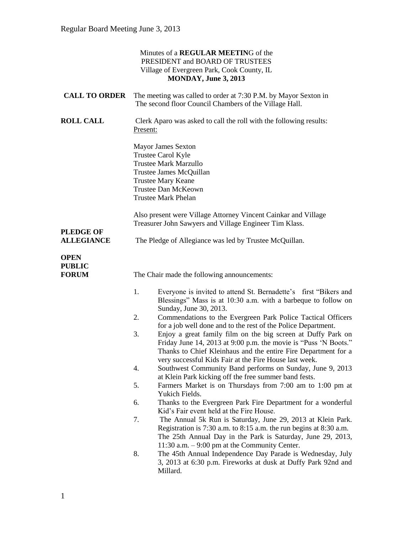|                                              | Minutes of a REGULAR MEETING of the<br>PRESIDENT and BOARD OF TRUSTEES<br>Village of Evergreen Park, Cook County, IL<br>MONDAY, June 3, 2013                                                                                                                                                                                                                                                                                                                                                                                                                                                                                                                                                                                                                                                                                                                                                                                                                                                                                                                                                                                                                                                                                                                                                                                  |
|----------------------------------------------|-------------------------------------------------------------------------------------------------------------------------------------------------------------------------------------------------------------------------------------------------------------------------------------------------------------------------------------------------------------------------------------------------------------------------------------------------------------------------------------------------------------------------------------------------------------------------------------------------------------------------------------------------------------------------------------------------------------------------------------------------------------------------------------------------------------------------------------------------------------------------------------------------------------------------------------------------------------------------------------------------------------------------------------------------------------------------------------------------------------------------------------------------------------------------------------------------------------------------------------------------------------------------------------------------------------------------------|
| <b>CALL TO ORDER</b>                         | The meeting was called to order at 7:30 P.M. by Mayor Sexton in<br>The second floor Council Chambers of the Village Hall.                                                                                                                                                                                                                                                                                                                                                                                                                                                                                                                                                                                                                                                                                                                                                                                                                                                                                                                                                                                                                                                                                                                                                                                                     |
| <b>ROLL CALL</b>                             | Clerk Aparo was asked to call the roll with the following results:<br>Present:                                                                                                                                                                                                                                                                                                                                                                                                                                                                                                                                                                                                                                                                                                                                                                                                                                                                                                                                                                                                                                                                                                                                                                                                                                                |
|                                              | Mayor James Sexton<br>Trustee Carol Kyle<br><b>Trustee Mark Marzullo</b><br>Trustee James McQuillan<br><b>Trustee Mary Keane</b><br>Trustee Dan McKeown<br><b>Trustee Mark Phelan</b>                                                                                                                                                                                                                                                                                                                                                                                                                                                                                                                                                                                                                                                                                                                                                                                                                                                                                                                                                                                                                                                                                                                                         |
|                                              | Also present were Village Attorney Vincent Cainkar and Village                                                                                                                                                                                                                                                                                                                                                                                                                                                                                                                                                                                                                                                                                                                                                                                                                                                                                                                                                                                                                                                                                                                                                                                                                                                                |
| <b>PLEDGE OF</b><br><b>ALLEGIANCE</b>        | Treasurer John Sawyers and Village Engineer Tim Klass.<br>The Pledge of Allegiance was led by Trustee McQuillan.                                                                                                                                                                                                                                                                                                                                                                                                                                                                                                                                                                                                                                                                                                                                                                                                                                                                                                                                                                                                                                                                                                                                                                                                              |
| <b>OPEN</b><br><b>PUBLIC</b><br><b>FORUM</b> | The Chair made the following announcements:                                                                                                                                                                                                                                                                                                                                                                                                                                                                                                                                                                                                                                                                                                                                                                                                                                                                                                                                                                                                                                                                                                                                                                                                                                                                                   |
|                                              | 1.<br>Everyone is invited to attend St. Bernadette's first "Bikers and<br>Blessings" Mass is at 10:30 a.m. with a barbeque to follow on<br>Sunday, June 30, 2013.<br>Commendations to the Evergreen Park Police Tactical Officers<br>2.<br>for a job well done and to the rest of the Police Department.<br>3.<br>Enjoy a great family film on the big screen at Duffy Park on<br>Friday June 14, 2013 at 9:00 p.m. the movie is "Puss 'N Boots."<br>Thanks to Chief Kleinhaus and the entire Fire Department for a<br>very successful Kids Fair at the Fire House last week.<br>Southwest Community Band performs on Sunday, June 9, 2013<br>4.<br>at Klein Park kicking off the free summer band fests.<br>Farmers Market is on Thursdays from 7:00 am to 1:00 pm at<br>5.<br>Yukich Fields.<br>Thanks to the Evergreen Park Fire Department for a wonderful<br>6.<br>Kid's Fair event held at the Fire House.<br>7.<br>The Annual 5k Run is Saturday, June 29, 2013 at Klein Park.<br>Registration is 7:30 a.m. to 8:15 a.m. the run begins at 8:30 a.m.<br>The 25th Annual Day in the Park is Saturday, June 29, 2013,<br>11:30 a.m. $-9:00$ pm at the Community Center.<br>8.<br>The 45th Annual Independence Day Parade is Wednesday, July<br>3, 2013 at 6:30 p.m. Fireworks at dusk at Duffy Park 92nd and<br>Millard. |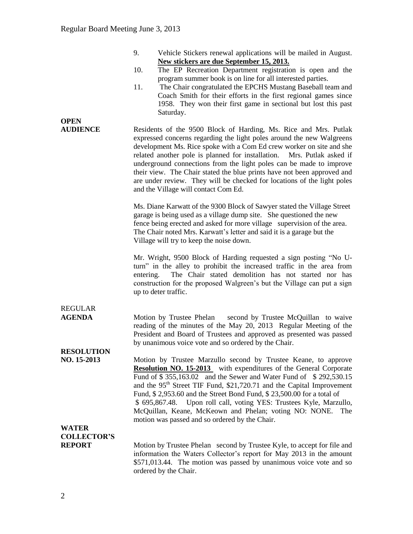| The Chair congratulated the EPCHS Mustang Baseball team and<br>Coach Smith for their efforts in the first regional games since<br>1958. They won their first game in sectional but lost this past                                                                                                                                                                                                                                                                                                      |
|--------------------------------------------------------------------------------------------------------------------------------------------------------------------------------------------------------------------------------------------------------------------------------------------------------------------------------------------------------------------------------------------------------------------------------------------------------------------------------------------------------|
| Residents of the 9500 Block of Harding, Ms. Rice and Mrs. Putlak<br>expressed concerns regarding the light poles around the new Walgreens<br>development Ms. Rice spoke with a Com Ed crew worker on site and she<br>Mrs. Putlak asked if<br>underground connections from the light poles can be made to improve<br>their view. The Chair stated the blue prints have not been approved and<br>are under review. They will be checked for locations of the light poles                                 |
| Ms. Diane Karwatt of the 9300 Block of Sawyer stated the Village Street<br>garage is being used as a village dump site. She questioned the new<br>fence being erected and asked for more village supervision of the area.<br>The Chair noted Mrs. Karwatt's letter and said it is a garage but the                                                                                                                                                                                                     |
| Mr. Wright, 9500 Block of Harding requested a sign posting "No U-<br>turn" in the alley to prohibit the increased traffic in the area from<br>The Chair stated demolition has not started nor has<br>construction for the proposed Walgreen's but the Village can put a sign                                                                                                                                                                                                                           |
| second by Trustee McQuillan to waive<br>reading of the minutes of the May 20, 2013 Regular Meeting of the<br>President and Board of Trustees and approved as presented was passed                                                                                                                                                                                                                                                                                                                      |
| Motion by Trustee Marzullo second by Trustee Keane, to approve<br><b>Resolution NO. 15-2013</b> with expenditures of the General Corporate<br>Fund of \$355,163.02 and the Sewer and Water Fund of \$292,530.15<br>and the 95 <sup>th</sup> Street TIF Fund, \$21,720.71 and the Capital Improvement<br>Fund, \$2,953.60 and the Street Bond Fund, \$23,500.00 for a total of<br>Upon roll call, voting YES: Trustees Kyle, Marzullo,<br>McQuillan, Keane, McKeown and Phelan; voting NO: NONE.<br>The |
| Motion by Trustee Phelan second by Trustee Kyle, to accept for file and<br>information the Waters Collector's report for May 2013 in the amount<br>\$571,013.44. The motion was passed by unanimous voice vote and so                                                                                                                                                                                                                                                                                  |
|                                                                                                                                                                                                                                                                                                                                                                                                                                                                                                        |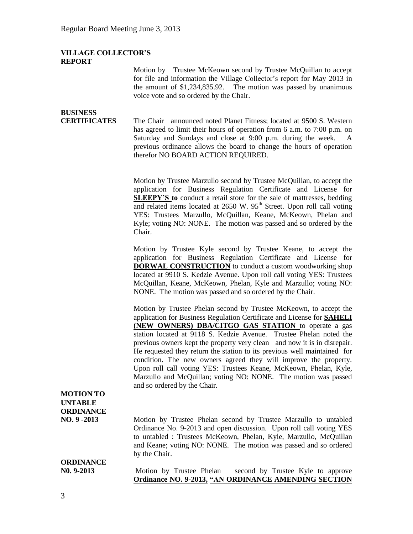### **VILLAGE COLLECTOR'S REPORT**

Motion by Trustee McKeown second by Trustee McQuillan to accept for file and information the Village Collector's report for May 2013 in the amount of \$1,234,835.92. The motion was passed by unanimous voice vote and so ordered by the Chair.

| <b>BUSINESS</b><br><b>CERTIFICATES</b> | The Chair announced noted Planet Fitness; located at 9500 S. Western<br>has agreed to limit their hours of operation from 6 a.m. to 7:00 p.m. on<br>Saturday and Sundays and close at 9:00 p.m. during the week. A<br>previous ordinance allows the board to change the hours of operation |
|----------------------------------------|--------------------------------------------------------------------------------------------------------------------------------------------------------------------------------------------------------------------------------------------------------------------------------------------|
|                                        | therefor NO BOARD ACTION REQUIRED.<br>Motion by Trustee Marzullo second by Trustee McQuillan, to accept the<br>application for Business Regulation Certificate and License for<br><b>SLEEPY'S</b> to conduct a retail store for the sale of mattresses bedding                             |

tee McQuillan, to accept the ertificate and License for S to conduct a retail store for the sale of mattresses, bedding and related items located at  $2650$  W.  $95<sup>th</sup>$  Street. Upon roll call voting YES: Trustees Marzullo, McQuillan, Keane, McKeown, Phelan and Kyle; voting NO: NONE. The motion was passed and so ordered by the Chair.

Motion by Trustee Kyle second by Trustee Keane, to accept the application for Business Regulation Certificate and License for **DORWAL CONSTRUCTION** to conduct a custom woodworking shop located at 9910 S. Kedzie Avenue. Upon roll call voting YES: Trustees McQuillan, Keane, McKeown, Phelan, Kyle and Marzullo; voting NO: NONE. The motion was passed and so ordered by the Chair.

Motion by Trustee Phelan second by Trustee McKeown, to accept the application for Business Regulation Certificate and License for **SAHELI (NEW OWNERS) DBA/CITGO GAS STATION** to operate a gas station located at 9118 S. Kedzie Avenue. Trustee Phelan noted the previous owners kept the property very clean and now it is in disrepair. He requested they return the station to its previous well maintained for condition. The new owners agreed they will improve the property. Upon roll call voting YES: Trustees Keane, McKeown, Phelan, Kyle, Marzullo and McQuillan; voting NO: NONE. The motion was passed and so ordered by the Chair.

## **MOTION TO UNTABLE ORDINANCE**

**NO. 9 -2013** Motion by Trustee Phelan second by Trustee Marzullo to untabled Ordinance No. 9-2013 and open discussion. Upon roll call voting YES to untabled : Trustees McKeown, Phelan, Kyle, Marzullo, McQuillan and Keane; voting NO: NONE. The motion was passed and so ordered by the Chair.

# **ORDINANCE**

**N0. 9-2013** Motion by Trustee Phelan second by Trustee Kyle to approve **Ordinance NO. 9-2013, "AN ORDINANCE AMENDING SECTION**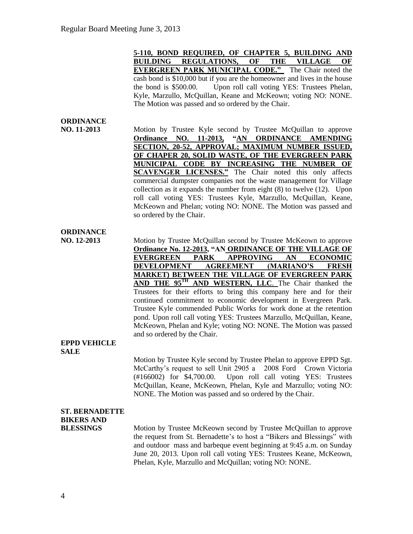**5-110, BOND REQUIRED, OF CHAPTER 5, BUILDING AND BUILDING REGULATIONS, OF THE VILLAGE OF EVERGREEN PARK MUNICIPAL CODE."** The Chair noted the cash bond is \$10,000 but if you are the homeowner and lives in the house the bond is \$500.00. Upon roll call voting YES: Trustees Phelan, Kyle, Marzullo, McQuillan, Keane and McKeown; voting NO: NONE. The Motion was passed and so ordered by the Chair.

### **ORDINANCE**

**NO. 11-2013** Motion by Trustee Kyle second by Trustee McQuillan to approve **Ordinance NO. 11-2013, "AN ORDINANCE AMENDING SECTION, 20-52, APPROVAL; MAXIMUM NUMBER ISSUED, OF CHAPER 20, SOLID WASTE, OF THE EVERGREEN PARK MUNICIPAL CODE BY INCREASING THE NUMBER OF SCAVENGER LICENSES."** The Chair noted this only affects commercial dumpster companies not the waste management for Village collection as it expands the number from eight (8) to twelve (12). Upon roll call voting YES: Trustees Kyle, Marzullo, McQuillan, Keane, McKeown and Phelan; voting NO: NONE. The Motion was passed and so ordered by the Chair.

### **ORDINANCE**

**NO. 12-2013** Motion by Trustee McQuillan second by Trustee McKeown to approve **Ordinance No. 12-2013, "AN ORDINANCE OF THE VILLAGE OF EVERGREEN PARK APPROVING AN ECONOMIC DEVELOPMENT AGREEMENT (MARIANO'S FRESH MARKET) BETWEEN THE VILLAGE OF EVERGREEN PARK AND THE 95TH AND WESTERN, LLC**. The Chair thanked the Trustees for their efforts to bring this company here and for their continued commitment to economic development in Evergreen Park. Trustee Kyle commended Public Works for work done at the retention pond. Upon roll call voting YES: Trustees Marzullo, McQuillan, Keane, McKeown, Phelan and Kyle; voting NO: NONE. The Motion was passed and so ordered by the Chair.

### **EPPD VEHICLE SALE**

Motion by Trustee Kyle second by Trustee Phelan to approve EPPD Sgt. McCarthy's request to sell Unit 2905 a 2008 Ford Crown Victoria (#166002) for \$4,700.00. Upon roll call voting YES: Trustees McQuillan, Keane, McKeown, Phelan, Kyle and Marzullo; voting NO: NONE. The Motion was passed and so ordered by the Chair.

## **ST. BERNADETTE BIKERS AND**

**BLESSINGS** Motion by Trustee McKeown second by Trustee McQuillan to approve the request from St. Bernadette's to host a "Bikers and Blessings" with and outdoor mass and barbeque event beginning at 9:45 a.m. on Sunday June 20, 2013. Upon roll call voting YES: Trustees Keane, McKeown, Phelan, Kyle, Marzullo and McQuillan; voting NO: NONE.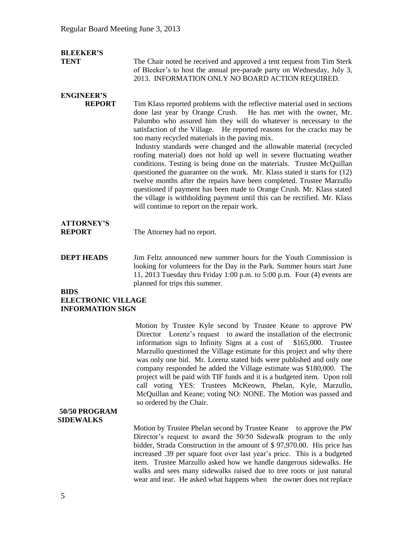### **BLEEKER'S**

**TENT** The Chair noted he received and approved a tent request from Tim Sterk of Bleeker's to host the annual pre-parade party on Wednesday, July 3, 2013. INFORMATION ONLY NO BOARD ACTION REQUIRED.

## **ENGINEER'S**

**REPORT** Tim Klass reported problems with the reflective material used in sections done last year by Orange Crush. He has met with the owner, Mr. Palumbo who assured him they will do whatever is necessary to the satisfaction of the Village. He reported reasons for the cracks may be too many recycled materials in the paving mix. Industry standards were changed and the allowable material (recycled

roofing material) does not hold up well in severe fluctuating weather conditions. Testing is being done on the materials. Trustee McQuillan questioned the guarantee on the work. Mr. Klass stated it starts for (12) twelve months after the repairs have been completed. Trustee Marzullo questioned if payment has been made to Orange Crush. Mr. Klass stated the village is withholding payment until this can be rectified. Mr. Klass will continue to report on the repair work.

# **ATTORNEY'S**

**REPORT** The Attorney had no report.

**DEPT HEADS** Jim Feltz announced new summer hours for the Youth Commission is looking for volunteers for the Day in the Park. Summer hours start June 11, 2013 Tuesday thru Friday 1:00 p.m. to 5:00 p.m. Four (4) events are planned for trips this summer.

#### **BIDS ELECTRONIC VILLAGE**

### **INFORMATION SIGN**

Motion by Trustee Kyle second by Trustee Keane to approve PW Director Lorenz's request to award the installation of the electronic information sign to Infinity Signs at a cost of \$165,000. Trustee Marzullo questioned the Village estimate for this project and why there was only one bid. Mr. Lorenz stated bids were published and only one company responded he added the Village estimate was \$180,000. The project will be paid with TIF funds and it is a budgeted item. Upon roll call voting YES: Trustees McKeown, Phelan, Kyle, Marzullo, McQuillan and Keane; voting NO: NONE. The Motion was passed and so ordered by the Chair.

### **50/50 PROGRAM SIDEWALKS**

Motion by Trustee Phelan second by Trustee Keane to approve the PW Director's request to award the 50/50 Sidewalk program to the only bidder, Strada Construction in the amount of \$ 97,970.00. His price has increased .39 per square foot over last year's price. This is a budgeted item. Trustee Marzullo asked how we handle dangerous sidewalks. He walks and sees many sidewalks raised due to tree roots or just natural wear and tear. He asked what happens when the owner does not replace